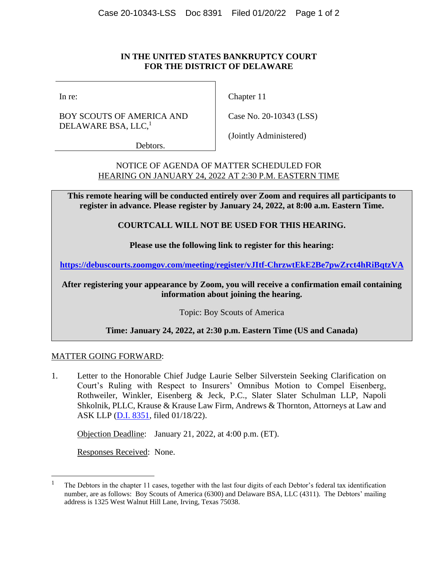## **IN THE UNITED STATES BANKRUPTCY COURT FOR THE DISTRICT OF DELAWARE**

In re:

BOY SCOUTS OF AMERICA AND DELAWARE BSA, LLC,<sup>1</sup>

Chapter 11

Case No. 20-10343 (LSS)

Debtors.

(Jointly Administered)

NOTICE OF AGENDA OF MATTER SCHEDULED FOR HEARING ON JANUARY 24, 2022 AT 2:30 P.M. EASTERN TIME

**This remote hearing will be conducted entirely over Zoom and requires all participants to register in advance. Please register by January 24, 2022, at 8:00 a.m. Eastern Time.**

**COURTCALL WILL NOT BE USED FOR THIS HEARING.**

**Please use the following link to register for this hearing:**

**<https://debuscourts.zoomgov.com/meeting/register/vJItf-ChrzwtEkE2Be7pwZrct4hRiBqtzVA>**

**After registering your appearance by Zoom, you will receive a confirmation email containing information about joining the hearing.**

Topic: Boy Scouts of America

**Time: January 24, 2022, at 2:30 p.m. Eastern Time (US and Canada)**

# MATTER GOING FORWARD:

1. Letter to the Honorable Chief Judge Laurie Selber Silverstein Seeking Clarification on Court's Ruling with Respect to Insurers' Omnibus Motion to Compel Eisenberg, Rothweiler, Winkler, Eisenberg & Jeck, P.C., Slater Slater Schulman LLP, Napoli Shkolnik, PLLC, Krause & Krause Law Firm, Andrews & Thornton, Attorneys at Law and ASK LLP [\(D.I. 8351,](https://ecf.deb.uscourts.gov/doc1/042020217354) filed 01/18/22).

Objection Deadline: January 21, 2022, at 4:00 p.m. (ET).

Responses Received: None.

<sup>1</sup> The Debtors in the chapter 11 cases, together with the last four digits of each Debtor's federal tax identification number, are as follows: Boy Scouts of America (6300) and Delaware BSA, LLC (4311). The Debtors' mailing address is 1325 West Walnut Hill Lane, Irving, Texas 75038.